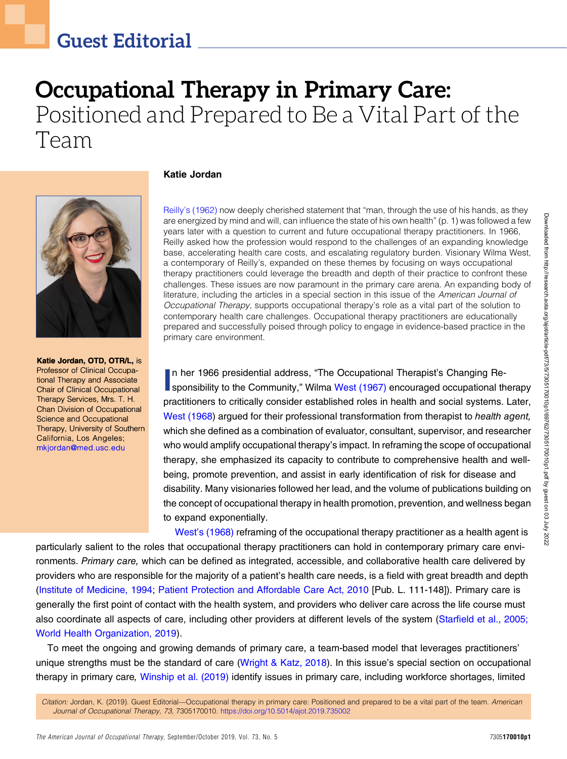# Occupational Therapy in Primary Care: Positioned and Prepared to Be a Vital Part of the Team



Katie Jordan, OTD, OTR/L, is Professor of Clinical Occupational Therapy and Associate Chair of Clinical Occupational Therapy Services, Mrs. T. H. Chan Division of Occupational Science and Occupational Therapy, University of Southern California, Los Angeles; [mkjordan@med.usc.edu](mailto:mkjordan@med.usc.edu)

#### Katie Jordan

Reilly'[s \(1962\)](#page-4-0) now deeply cherished statement that "man, through the use of his hands, as they are energized by mind and will, can influence the state of his own health" (p. 1) was followed a few years later with a question to current and future occupational therapy practitioners. In 1966, Reilly asked how the profession would respond to the challenges of an expanding knowledge base, accelerating health care costs, and escalating regulatory burden. Visionary Wilma West, a contemporary of Reilly's, expanded on these themes by focusing on ways occupational therapy practitioners could leverage the breadth and depth of their practice to confront these challenges. These issues are now paramount in the primary care arena. An expanding body of literature, including the articles in a special section in this issue of the American Journal of Occupational Therapy, supports occupational therapy's role as a vital part of the solution to contemporary health care challenges. Occupational therapy practitioners are educationally prepared and successfully poised through policy to engage in evidence-based practice in the primary care environment.

In her 1966 presidential address, "The Occupational Therapist's Changing Re-<br>sponsibility to the Community," Wilma [West \(1967\)](#page-5-0) encouraged occupational therapy n her 1966 presidential address, "The Occupational Therapist's Changing Repractitioners to critically consider established roles in health and social systems. Later, [West \(1968](#page-5-1)) arqued for their professional transformation from therapist to health agent, which she defined as a combination of evaluator, consultant, supervisor, and researcher who would amplify occupational therapy's impact. In reframing the scope of occupational therapy, she emphasized its capacity to contribute to comprehensive health and wellbeing, promote prevention, and assist in early identification of risk for disease and disability. Many visionaries followed her lead, and the volume of publications building on the concept of occupational therapy in health promotion, prevention, and wellness began to expand exponentially.

West'[s \(1968\)](#page-5-1) reframing of the occupational therapy practitioner as a health agent is particularly salient to the roles that occupational therapy practitioners can hold in contemporary primary care environments. Primary care, which can be defined as integrated, accessible, and collaborative health care delivered by providers who are responsible for the majority of a patient's health care needs, is a field with great breadth and depth [\(Institute of Medicine, 1994](#page-4-1); [Patient Protection and Affordable Care Act, 2010](#page-4-2) [Pub. L. 111-148]). Primary care is generally the first point of contact with the health system, and providers who deliver care across the life course must also coordinate all aspects of care, including other providers at different levels of the system (Starfi[eld et al., 2005;](#page-4-3) [World Health Organization, 2019](#page-5-2)).

To meet the ongoing and growing demands of primary care, a team-based model that leverages practitioners' unique strengths must be the standard of care ([Wright & Katz, 2018](#page-5-3)). In this issue's special section on occupational therapy in primary care, [Winship et al. \(2019\)](#page-5-4) identify issues in primary care, including workforce shortages, limited

Citation: Jordan, K. (2019). Guest Editorial—Occupational therapy in primary care: Positioned and prepared to be a vital part of the team. American Journal of Occupational Therapy, 73, 7305170010. <https://doi.org/10.5014/ajot.2019.735002>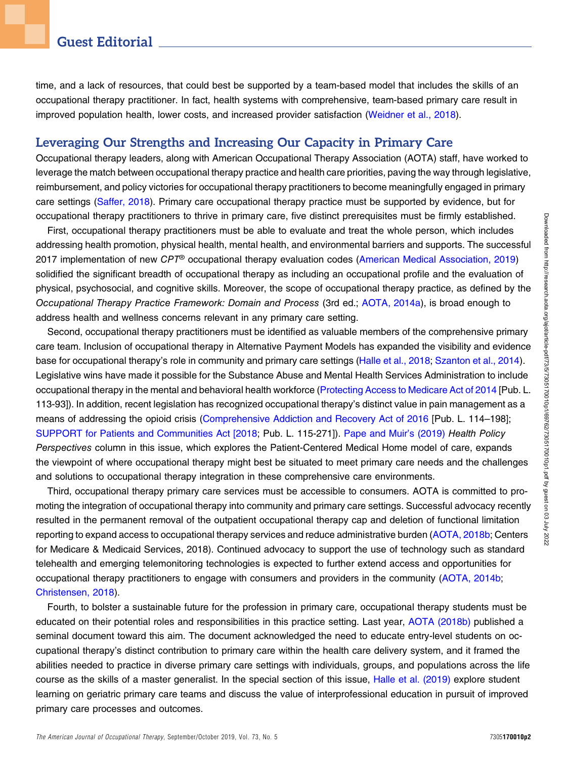time, and a lack of resources, that could best be supported by a team-based model that includes the skills of an occupational therapy practitioner. In fact, health systems with comprehensive, team-based primary care result in improved population health, lower costs, and increased provider satisfaction [\(Weidner et al., 2018](#page-5-5)).

### Leveraging Our Strengths and Increasing Our Capacity in Primary Care

Occupational therapy leaders, along with American Occupational Therapy Association (AOTA) staff, have worked to leverage the match between occupational therapy practice and health care priorities, paving the way through legislative, reimbursement, and policy victories for occupational therapy practitioners to become meaningfully engaged in primary care settings [\(Saffer, 2018\)](#page-4-4). Primary care occupational therapy practice must be supported by evidence, but for occupational therapy practitioners to thrive in primary care, five distinct prerequisites must be firmly established.

First, occupational therapy practitioners must be able to evaluate and treat the whole person, which includes addressing health promotion, physical health, mental health, and environmental barriers and supports. The successful 2017 implementation of new CPT® occupational therapy evaluation codes ([American Medical Association, 2019](#page-3-0)) solidified the significant breadth of occupational therapy as including an occupational profile and the evaluation of physical, psychosocial, and cognitive skills. Moreover, the scope of occupational therapy practice, as defined by the Occupational Therapy Practice Framework: Domain and Process (3rd ed.; [AOTA, 2014a\)](#page-3-1), is broad enough to address health and wellness concerns relevant in any primary care setting.

Second, occupational therapy practitioners must be identified as valuable members of the comprehensive primary care team. Inclusion of occupational therapy in Alternative Payment Models has expanded the visibility and evidence base for occupational therapy's role in community and primary care settings ([Halle et al., 2018;](#page-4-5) [Szanton et al., 2014](#page-5-6)). Legislative wins have made it possible for the Substance Abuse and Mental Health Services Administration to include occupational therapy in the mental and behavioral health workforce [\(Protecting Access to Medicare Act of 2014](#page-4-6) [Pub. L. 113-93]). In addition, recent legislation has recognized occupational therapy's distinct value in pain management as a means of addressing the opioid crisis [\(Comprehensive Addiction and Recovery Act of 2016](#page-4-7) [Pub. L. 114–198]; [SUPPORT for Patients and Communities Act \[2018](#page-5-7); Pub. L. 115-271]). [Pape and Muir](#page-4-8)'s (2019) Health Policy Perspectives column in this issue, which explores the Patient-Centered Medical Home model of care, expands the viewpoint of where occupational therapy might best be situated to meet primary care needs and the challenges and solutions to occupational therapy integration in these comprehensive care environments.

Third, occupational therapy primary care services must be accessible to consumers. AOTA is committed to promoting the integration of occupational therapy into community and primary care settings. Successful advocacy recently resulted in the permanent removal of the outpatient occupational therapy cap and deletion of functional limitation reporting to expand access to occupational therapy services and reduce administrative burden [\(AOTA, 2018b;](#page-4-9) Centers for Medicare & Medicaid Services, 2018). Continued advocacy to support the use of technology such as standard telehealth and emerging telemonitoring technologies is expected to further extend access and opportunities for occupational therapy practitioners to engage with consumers and providers in the community [\(AOTA, 2014b;](#page-3-2) [Christensen, 2018\)](#page-4-10).

Fourth, to bolster a sustainable future for the profession in primary care, occupational therapy students must be educated on their potential roles and responsibilities in this practice setting. Last year, [AOTA \(2018b\)](#page-4-9) published a seminal document toward this aim. The document acknowledged the need to educate entry-level students on occupational therapy's distinct contribution to primary care within the health care delivery system, and it framed the abilities needed to practice in diverse primary care settings with individuals, groups, and populations across the life course as the skills of a master generalist. In the special section of this issue, [Halle et al. \(2019\)](#page-4-11) explore student learning on geriatric primary care teams and discuss the value of interprofessional education in pursuit of improved primary care processes and outcomes.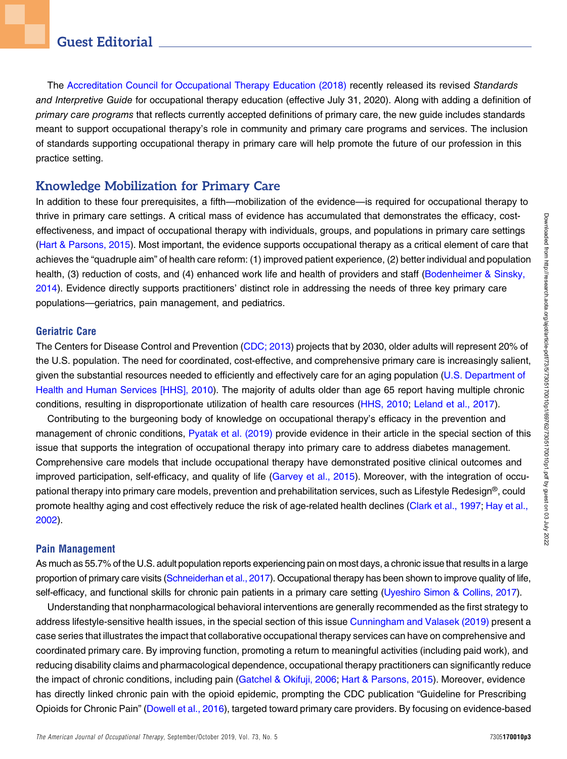The [Accreditation Council for Occupational Therapy Education \(2018\)](#page-3-3) recently released its revised Standards and Interpretive Guide for occupational therapy education (effective July 31, 2020). Along with adding a definition of primary care programs that reflects currently accepted definitions of primary care, the new guide includes standards meant to support occupational therapy's role in community and primary care programs and services. The inclusion of standards supporting occupational therapy in primary care will help promote the future of our profession in this practice setting.

### Knowledge Mobilization for Primary Care

In addition to these four prerequisites, a fifth—mobilization of the evidence—is required for occupational therapy to thrive in primary care settings. A critical mass of evidence has accumulated that demonstrates the efficacy, costeffectiveness, and impact of occupational therapy with individuals, groups, and populations in primary care settings [\(Hart & Parsons, 2015](#page-4-12)). Most important, the evidence supports occupational therapy as a critical element of care that achieves the "quadruple aim" of health care reform: (1) improved patient experience, (2) better individual and population health, (3) reduction of costs, and (4) enhanced work life and health of providers and staff [\(Bodenheimer & Sinsky,](#page-4-13) [2014](#page-4-13)). Evidence directly supports practitioners' distinct role in addressing the needs of three key primary care populations—geriatrics, pain management, and pediatrics.

#### Geriatric Care

The Centers for Disease Control and Prevention [\(CDC; 2013](#page-4-14)) projects that by 2030, older adults will represent 20% of the U.S. population. The need for coordinated, cost-effective, and comprehensive primary care is increasingly salient, given the substantial resources needed to efficiently and effectively care for an aging population [\(U.S. Department of](#page-5-8) [Health and Human Services \[HHS\], 2010\)](#page-5-8). The majority of adults older than age 65 report having multiple chronic conditions, resulting in disproportionate utilization of health care resources [\(HHS, 2010](#page-5-8); [Leland et al., 2017](#page-4-15)).

Contributing to the burgeoning body of knowledge on occupational therapy's efficacy in the prevention and management of chronic conditions, [Pyatak et al. \(2019\)](#page-4-16) provide evidence in their article in the special section of this issue that supports the integration of occupational therapy into primary care to address diabetes management. Comprehensive care models that include occupational therapy have demonstrated positive clinical outcomes and improved participation, self-efficacy, and quality of life ([Garvey et al., 2015](#page-4-17)). Moreover, with the integration of occupational therapy into primary care models, prevention and prehabilitation services, such as Lifestyle Redesign®, could promote healthy aging and cost effectively reduce the risk of age-related health declines ([Clark et al., 1997](#page-4-18); [Hay et al.,](#page-4-19) [2002](#page-4-19)).

### Pain Management

As much as 55.7% of the U.S. adult population reports experiencing pain on most days, a chronic issue that results in a large proportion of primary care visits ([Schneiderhan et al., 2017\)](#page-4-20). Occupational therapy has been shown to improve quality of life, self-efficacy, and functional skills for chronic pain patients in a primary care setting [\(Uyeshiro Simon & Collins, 2017](#page-5-9)).

Understanding that nonpharmacological behavioral interventions are generally recommended as the first strategy to address lifestyle-sensitive health issues, in the special section of this issue [Cunningham and Valasek \(2019\)](#page-4-21) present a case series that illustrates the impact that collaborative occupational therapy services can have on comprehensive and coordinated primary care. By improving function, promoting a return to meaningful activities (including paid work), and reducing disability claims and pharmacological dependence, occupational therapy practitioners can significantly reduce the impact of chronic conditions, including pain ([Gatchel & Okifuji, 2006](#page-4-22); [Hart & Parsons, 2015\)](#page-4-12). Moreover, evidence has directly linked chronic pain with the opioid epidemic, prompting the CDC publication "Guideline for Prescribing Opioids for Chronic Pain" [\(Dowell et al., 2016](#page-4-23)), targeted toward primary care providers. By focusing on evidence-based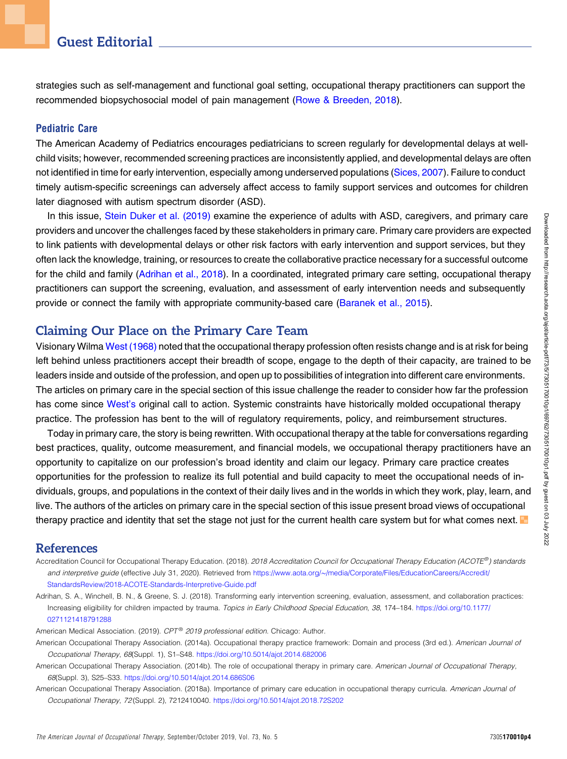## Guest Editorial

strategies such as self-management and functional goal setting, occupational therapy practitioners can support the recommended biopsychosocial model of pain management ([Rowe & Breeden, 2018](#page-4-24)).

#### Pediatric Care

The American Academy of Pediatrics encourages pediatricians to screen regularly for developmental delays at wellchild visits; however, recommended screening practices are inconsistently applied, and developmental delays are often not identified in time for early intervention, especially among underserved populations [\(Sices, 2007](#page-4-25)). Failure to conduct timely autism-specific screenings can adversely affect access to family support services and outcomes for children later diagnosed with autism spectrum disorder (ASD).

In this issue, [Stein Duker et al. \(2019\)](#page-4-26) examine the experience of adults with ASD, caregivers, and primary care providers and uncover the challenges faced by these stakeholders in primary care. Primary care providers are expected to link patients with developmental delays or other risk factors with early intervention and support services, but they often lack the knowledge, training, or resources to create the collaborative practice necessary for a successful outcome for the child and family [\(Adrihan et al., 2018](#page-3-4)). In a coordinated, integrated primary care setting, occupational therapy practitioners can support the screening, evaluation, and assessment of early intervention needs and subsequently provide or connect the family with appropriate community-based care [\(Baranek et al., 2015\)](#page-4-27).

### Claiming Our Place on the Primary Care Team

Visionary Wilma [West \(1968\)](#page-5-1) noted that the occupational therapy profession often resists change and is at risk for being left behind unless practitioners accept their breadth of scope, engage to the depth of their capacity, are trained to be leaders inside and outside of the profession, and open up to possibilities of integration into different care environments. The articles on primary care in the special section of this issue challenge the reader to consider how far the profession has come since [West](#page-5-1)'s original call to action. Systemic constraints have historically molded occupational therapy practice. The profession has bent to the will of regulatory requirements, policy, and reimbursement structures.

Today in primary care, the story is being rewritten. With occupational therapy at the table for conversations regarding best practices, quality, outcome measurement, and financial models, we occupational therapy practitioners have an opportunity to capitalize on our profession's broad identity and claim our legacy. Primary care practice creates opportunities for the profession to realize its full potential and build capacity to meet the occupational needs of individuals, groups, and populations in the context of their daily lives and in the worlds in which they work, play, learn, and live. The authors of the articles on primary care in the special section of this issue present broad views of occupational therapy practice and identity that set the stage not just for the current health care system but for what comes next.

### References

- <span id="page-3-3"></span>Accreditation Council for Occupational Therapy Education. (2018). 2018 Accreditation Council for Occupational Therapy Education (ACOTE®) standards and interpretive guide (effective July 31, 2020). Retrieved from [https://www.aota.org/](https://www.aota.org/~/media/Corporate/Files/EducationCareers/Accredit/StandardsReview/2018-ACOTE-Standards-Interpretive-Guide.pdf)∼[/media/Corporate/Files/EducationCareers/Accredit/](https://www.aota.org/~/media/Corporate/Files/EducationCareers/Accredit/StandardsReview/2018-ACOTE-Standards-Interpretive-Guide.pdf) [StandardsReview/2018-ACOTE-Standards-Interpretive-Guide.pdf](https://www.aota.org/~/media/Corporate/Files/EducationCareers/Accredit/StandardsReview/2018-ACOTE-Standards-Interpretive-Guide.pdf)
- <span id="page-3-4"></span>Adrihan, S. A., Winchell, B. N., & Greene, S. J. (2018). Transforming early intervention screening, evaluation, assessment, and collaboration practices: Increasing eligibility for children impacted by trauma. Topics in Early Childhood Special Education, 38, 174–184. [https://doi.org/10.1177/](https://doi.org/10.1177/0271121418791288) [0271121418791288](https://doi.org/10.1177/0271121418791288)

<span id="page-3-1"></span><span id="page-3-0"></span>American Medical Association. (2019). CPT® 2019 professional edition. Chicago: Author.

- American Occupational Therapy Association. (2014a). Occupational therapy practice framework: Domain and process (3rd ed.). American Journal of Occupational Therapy, 68(Suppl. 1), S1–S48. <https://doi.org/10.5014/ajot.2014.682006>
- <span id="page-3-2"></span>American Occupational Therapy Association. (2014b). The role of occupational therapy in primary care. American Journal of Occupational Therapy, 68(Suppl. 3), S25–S33. <https://doi.org/10.5014/ajot.2014.686S06>
- American Occupational Therapy Association. (2018a). Importance of primary care education in occupational therapy curricula. American Journal of Occupational Therapy, 72 (Suppl. 2), 7212410040. <https://doi.org/10.5014/ajot.2018.72S202>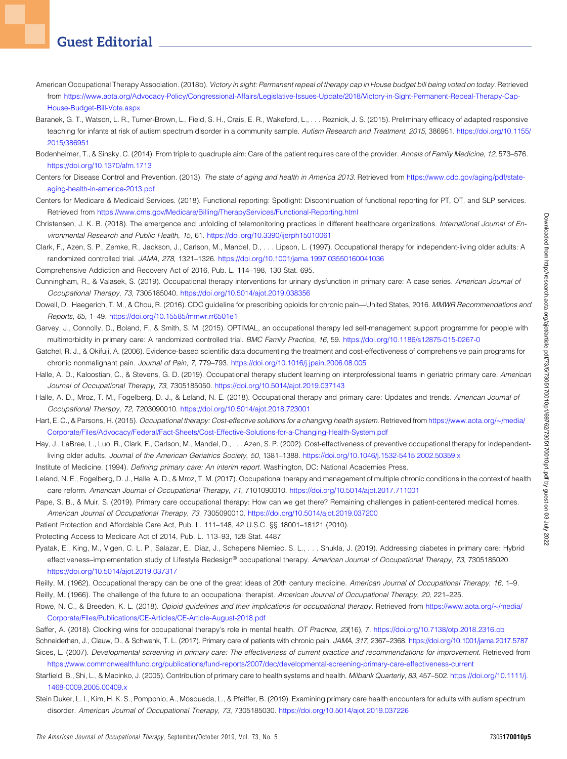# Guest Editorial

- <span id="page-4-9"></span>American Occupational Therapy Association. (2018b). Victory in sight: Permanent repeal of therapy cap in House budget bill being voted on today. Retrieved from [https://www.aota.org/Advocacy-Policy/Congressional-Affairs/Legislative-Issues-Update/2018/Victory-in-Sight-Permanent-Repeal-Therapy-Cap-](https://www.aota.org/Advocacy-Policy/Congressional-Affairs/Legislative-Issues-Update/2018/Victory-in-Sight-Permanent-Repeal-Therapy-Cap-House-Budget-Bill-Vote.aspx)[House-Budget-Bill-Vote.aspx](https://www.aota.org/Advocacy-Policy/Congressional-Affairs/Legislative-Issues-Update/2018/Victory-in-Sight-Permanent-Repeal-Therapy-Cap-House-Budget-Bill-Vote.aspx)
- <span id="page-4-27"></span>Baranek, G. T., Watson, L. R., Turner-Brown, L., Field, S. H., Crais, E. R., Wakeford, L., . . . Reznick, J. S. (2015). Preliminary efficacy of adapted responsive teaching for infants at risk of autism spectrum disorder in a community sample. Autism Research and Treatment, 2015, 386951. [https://doi.org/10.1155/](https://doi.org/10.1155/2015/386951) [2015/386951](https://doi.org/10.1155/2015/386951)
- <span id="page-4-13"></span>Bodenheimer, T., & Sinsky, C. (2014). From triple to quadruple aim: Care of the patient requires care of the provider. Annals of Family Medicine, 12, 573–576. <https://doi.org/10.1370/afm.1713>
- <span id="page-4-14"></span>Centers for Disease Control and Prevention. (2013). The state of aging and health in America 2013. Retrieved from [https://www.cdc.gov/aging/pdf/state](https://www.cdc.gov/aging/pdf/state-aging-health-in-america-2013.pdf)[aging-health-in-america-2013.pdf](https://www.cdc.gov/aging/pdf/state-aging-health-in-america-2013.pdf)
- Centers for Medicare & Medicaid Services. (2018). Functional reporting: Spotlight: Discontinuation of functional reporting for PT, OT, and SLP services. Retrieved from <https://www.cms.gov/Medicare/Billing/TherapyServices/Functional-Reporting.html>
- <span id="page-4-10"></span>Christensen, J. K. B. (2018). The emergence and unfolding of telemonitoring practices in different healthcare organizations. International Journal of Environmental Research and Public Health, 15, 61. <https://doi.org/10.3390/ijerph15010061>
- <span id="page-4-18"></span>Clark, F., Azen, S. P., Zemke, R., Jackson, J., Carlson, M., Mandel, D., . . . Lipson, L. (1997). Occupational therapy for independent-living older adults: A randomized controlled trial. JAMA, 278, 1321–1326. <https://doi.org/10.1001/jama.1997.03550160041036>
- <span id="page-4-7"></span>Comprehensive Addiction and Recovery Act of 2016, Pub. L. 114–198, 130 Stat. 695.
- <span id="page-4-21"></span>Cunningham, R., & Valasek, S. (2019). Occupational therapy interventions for urinary dysfunction in primary care: A case series. American Journal of Occupational Therapy, 73, 7305185040. <https://doi.org/10.5014/ajot.2019.038356>
- <span id="page-4-23"></span>Dowell, D., Haegerich, T. M., & Chou, R. (2016). CDC guideline for prescribing opioids for chronic pain—United States, 2016. MMWR Recommendations and Reports, 65, 1–49. <https://doi.org/10.15585/mmwr.rr6501e1>
- <span id="page-4-17"></span>Garvey, J., Connolly, D., Boland, F., & Smith, S. M. (2015). OPTIMAL, an occupational therapy led self-management support programme for people with multimorbidity in primary care: A randomized controlled trial. BMC Family Practice, 16, 59. <https://doi.org/10.1186/s12875-015-0267-0>
- <span id="page-4-22"></span>Gatchel, R. J., & Okifuji, A. (2006). Evidence-based scientific data documenting the treatment and cost-effectiveness of comprehensive pain programs for chronic nonmalignant pain. Journal of Pain, 7, 779–793. <https://doi.org/10.1016/j.jpain.2006.08.005>
- <span id="page-4-11"></span>Halle, A. D., Kaloostian, C., & Stevens, G. D. (2019). Occupational therapy student learning on interprofessional teams in geriatric primary care. American Journal of Occupational Therapy, 73, 7305185050. <https://doi.org/10.5014/ajot.2019.037143>
- <span id="page-4-5"></span>Halle, A. D., Mroz, T. M., Fogelberg, D. J., & Leland, N. E. (2018). Occupational therapy and primary care: Updates and trends. American Journal of Occupational Therapy, 72, 7203090010. <https://doi.org/10.5014/ajot.2018.723001>
- <span id="page-4-12"></span>Hart, E. C., & Parsons, H. (2015). Occupational therapy: Cost-effective solutions for a changing health system. Retrieved from [https://www.aota.org/](https://www.aota.org/~/media/Corporate/Files/Advocacy/Federal/Fact-Sheets/Cost-Effective-Solutions-for-a-Changing-Health-System.pdf)∼[/media/](https://www.aota.org/~/media/Corporate/Files/Advocacy/Federal/Fact-Sheets/Cost-Effective-Solutions-for-a-Changing-Health-System.pdf) [Corporate/Files/Advocacy/Federal/Fact-Sheets/Cost-Effective-Solutions-for-a-Changing-Health-System.pdf](https://www.aota.org/~/media/Corporate/Files/Advocacy/Federal/Fact-Sheets/Cost-Effective-Solutions-for-a-Changing-Health-System.pdf)
- <span id="page-4-19"></span>Hay, J., LaBree, L., Luo, R., Clark, F., Carlson, M., Mandel, D., ...Azen, S. P. (2002). Cost-effectiveness of preventive occupational therapy for independentliving older adults. Journal of the American Geriatrics Society, 50, 1381-1388. <https://doi.org/10.1046/j.1532-5415.2002.50359.x>

<span id="page-4-1"></span>Institute of Medicine. (1994). Defining primary care: An interim report. Washington, DC: National Academies Press.

- <span id="page-4-15"></span>Leland, N. E., Fogelberg, D. J., Halle, A. D., & Mroz, T. M. (2017). Occupational therapy and management of multiple chronic conditions in the context of health care reform. American Journal of Occupational Therapy, 71, 7101090010. <https://doi.org/10.5014/ajot.2017.711001>
- <span id="page-4-8"></span>Pape, S. B., & Muir, S. (2019). Primary care occupational therapy: How can we get there? Remaining challenges in patient-centered medical homes. American Journal of Occupational Therapy, 73, 7305090010. <https://doi.org/10.5014/ajot.2019.037200>
- <span id="page-4-6"></span><span id="page-4-2"></span>Patient Protection and Affordable Care Act, Pub. L. 111–148, 42 U.S.C. §§ 18001–18121 (2010).

<span id="page-4-16"></span>Protecting Access to Medicare Act of 2014, Pub. L. 113–93, 128 Stat. 4487.

Pyatak, E., King, M., Vigen, C. L. P., Salazar, E., Diaz, J., Schepens Niemiec, S. L., . . . Shukla, J. (2019). Addressing diabetes in primary care: Hybrid effectiveness-implementation study of Lifestyle Redesign® occupational therapy. American Journal of Occupational Therapy, 73, 7305185020. <https://doi.org/10.5014/ajot.2019.037317>

- <span id="page-4-0"></span>Reilly, M. (1962). Occupational therapy can be one of the great ideas of 20th century medicine. American Journal of Occupational Therapy, 16, 1-9.
- Reilly, M. (1966). The challenge of the future to an occupational therapist. American Journal of Occupational Therapy, 20, 221-225.
- <span id="page-4-24"></span>Rowe, N. C., & Breeden, K. L. (2018). Opioid guidelines and their implications for occupational therapy. Retrieved from [https://www.aota.org/](https://www.aota.org/~/media/Corporate/Files/Publications/CE-Articles/CE-Article-August-2018.pdf)∼[/media/](https://www.aota.org/~/media/Corporate/Files/Publications/CE-Articles/CE-Article-August-2018.pdf) [Corporate/Files/Publications/CE-Articles/CE-Article-August-2018.pdf](https://www.aota.org/~/media/Corporate/Files/Publications/CE-Articles/CE-Article-August-2018.pdf)
- <span id="page-4-4"></span>Saffer, A. (2018). Clocking wins for occupational therapy's role in mental health. OT Practice, 23(16), 7. <https://doi.org/10.7138/otp.2018.2316.cb>
- <span id="page-4-20"></span>Schneiderhan, J., Clauw, D., & Schwenk, T. L. (2017). Primary care of patients with chronic pain. JAMA, 317, 2367–2368. <https://doi.org/10.1001/jama.2017.5787>
- <span id="page-4-25"></span>Sices, L. (2007). Developmental screening in primary care: The effectiveness of current practice and recommendations for improvement. Retrieved from <https://www.commonwealthfund.org/publications/fund-reports/2007/dec/developmental-screening-primary-care-effectiveness-current>
- <span id="page-4-3"></span>Starfield, B., Shi, L., & Macinko, J. (2005). Contribution of primary care to health systems and health. Milbank Quarterly, 83, 457-502. [https://doi.org/10.1111/j.](https://doi.org/10.1111/j.1468-0009.2005.00409.x) [1468-0009.2005.00409.x](https://doi.org/10.1111/j.1468-0009.2005.00409.x)
- <span id="page-4-26"></span>Stein Duker, L. I., Kim, H. K. S., Pomponio, A., Mosqueda, L., & Pfeiffer, B. (2019). Examining primary care health encounters for adults with autism spectrum disorder. American Journal of Occupational Therapy, 73, 7305185030. <https://doi.org/10.5014/ajot.2019.037226>